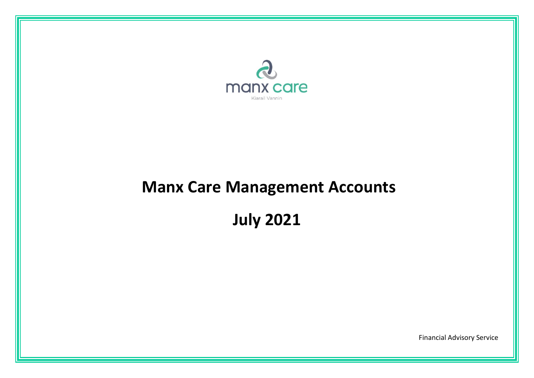

# **Manx Care Management Accounts**

**July 2021**

Financial Advisory Service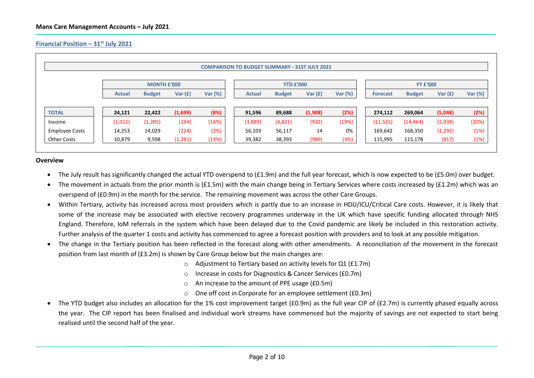## **Financial Position – 31 st July 2021**

|                       |                    |               |           |         | <b>COMPARISON TO BUDGET SUMMARY - 31ST JULY 2021</b> |                  |           |         |                 |                 |           |         |  |
|-----------------------|--------------------|---------------|-----------|---------|------------------------------------------------------|------------------|-----------|---------|-----------------|-----------------|-----------|---------|--|
|                       | <b>MONTH £'000</b> |               |           |         |                                                      | <b>YTD £'000</b> |           |         |                 | <b>FY £'000</b> |           |         |  |
|                       | <b>Actual</b>      | <b>Budget</b> | Var $(f)$ | Var (%) | <b>Actual</b>                                        | <b>Budget</b>    | Var $(f)$ | Var (%) | <b>Forecast</b> | <b>Budget</b>   | Var $(f)$ | Var (%) |  |
|                       |                    |               |           |         |                                                      |                  |           |         |                 |                 |           |         |  |
| <b>TOTAL</b>          | 24,121             | 22,422        | (1,699)   | (8%)    | 91,596                                               | 89,688           | (1,908)   | (2%)    | 274,112         | 269,064         | (5,048)   | (2%)    |  |
| Income                | (1,011)            | (1,205)       | (194)     | (16%)   | (3,889)                                              | (4,821)          | (932)     | (19%)   | (11, 525)       | (14, 464)       | (2,938)   | (20%)   |  |
| <b>Employee Costs</b> | 14,253             | 14,029        | (224)     | (2%)    | 56,103                                               | 56,117           | 14        | 0%      | 169,642         | 168,350         | (1, 292)  | (1%)    |  |
|                       | 10,879             | 9,598         | (1, 281)  | (13%)   | 39,382                                               | 38,393           | (989)     | (3%)    | 115,995         | 115,178         | (817)     | (1%)    |  |

## **Overview**

- The July result has significantly changed the actual YTD overspend to (£1.9m) and the full year forecast, which is now expected to be (£5.0m) over budget.
- The movement in actuals from the prior month is (£1.5m) with the main change being in Tertiary Services where costs increased by (£1.2m) which was an overspend of (£0.9m) in the month for the service. The remaining movement was across the other Care Groups.
- Within Tertiary, activity has increased across most providers which is partly due to an increase in HDU/ICU/Critical Care costs. However, it is likely that some of the increase may be associated with elective recovery programmes underway in the UK which have specific funding allocated through NHS England. Therefore, IoM referrals in the system which have been delayed due to the Covid pandemic are likely be included in this restoration activity. Further analysis of the quarter 1 costs and activity has commenced to agree a forecast position with providers and to look at any possible mitigation.
- The change in the Tertiary position has been reflected in the forecast along with other amendments. A reconciliation of the movement in the forecast position from last month of (£3.2m) is shown by Care Group below but the main changes are:
	- o Adjustment to Tertiary based on activity levels for Q1 (£1.7m)
	- o Increase in costs for Diagnostics & Cancer Services (£0.7m)
	- o An increase to the amount of PPE usage (£0.5m)
	- $\circ$  One off cost in Corporate for an employee settlement (£0.3m)
- The YTD budget also includes an allocation for the 1% cost improvement target (£0.9m) as the full year CIP of (£2.7m) is currently phased equally across the year. The CIP report has been finalised and individual work streams have commenced but the majority of savings are not expected to start being realised until the second half of the year.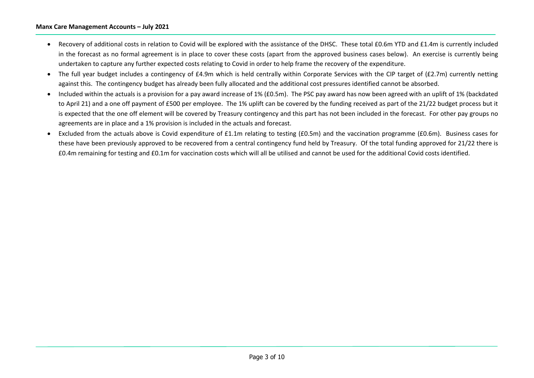## **Manx Care Management Accounts – July 2021**

- Recovery of additional costs in relation to Covid will be explored with the assistance of the DHSC. These total £0.6m YTD and £1.4m is currently included in the forecast as no formal agreement is in place to cover these costs (apart from the approved business cases below). An exercise is currently being undertaken to capture any further expected costs relating to Covid in order to help frame the recovery of the expenditure.
- The full year budget includes a contingency of £4.9m which is held centrally within Corporate Services with the CIP target of (£2.7m) currently netting against this. The contingency budget has already been fully allocated and the additional cost pressures identified cannot be absorbed.
- Included within the actuals is a provision for a pay award increase of 1% (£0.5m). The PSC pay award has now been agreed with an uplift of 1% (backdated to April 21) and a one off payment of £500 per employee. The 1% uplift can be covered by the funding received as part of the 21/22 budget process but it is expected that the one off element will be covered by Treasury contingency and this part has not been included in the forecast. For other pay groups no agreements are in place and a 1% provision is included in the actuals and forecast.
- Excluded from the actuals above is Covid expenditure of £1.1m relating to testing (£0.5m) and the vaccination programme (£0.6m). Business cases for these have been previously approved to be recovered from a central contingency fund held by Treasury. Of the total funding approved for 21/22 there is £0.4m remaining for testing and £0.1m for vaccination costs which will all be utilised and cannot be used for the additional Covid costs identified.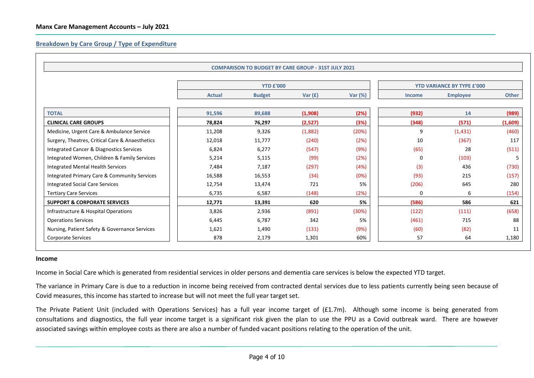## **Breakdown by Care Group / Type of Expenditure**

|                                                     |               | <b>COMPARISON TO BUDGET BY CARE GROUP - 31ST JULY 2021</b> |           |         |                                   |                 |         |
|-----------------------------------------------------|---------------|------------------------------------------------------------|-----------|---------|-----------------------------------|-----------------|---------|
|                                                     |               | <b>YTD £'000</b>                                           |           |         | <b>YTD VARIANCE BY TYPE £'000</b> |                 |         |
|                                                     | <b>Actual</b> | <b>Budget</b>                                              | Var $(f)$ | Var (%) | <b>Income</b>                     | <b>Employee</b> | Other   |
| <b>TOTAL</b>                                        | 91,596        | 89,688                                                     | (1,908)   | (2%)    | (932)                             | 14              | (989)   |
| <b>CLINICAL CARE GROUPS</b>                         | 78,824        | 76,297                                                     | (2,527)   | (3%)    | (348)                             | (571)           | (1,609) |
| Medicine, Urgent Care & Ambulance Service           | 11,208        | 9,326                                                      | (1,882)   | (20%)   | 9                                 | (1, 431)        | (460)   |
| Surgery, Theatres, Critical Care & Anaesthetics     | 12,018        | 11,777                                                     | (240)     | (2%)    | 10                                | (367)           | 117     |
| <b>Integrated Cancer &amp; Diagnostics Services</b> | 6,824         | 6,277                                                      | (547)     | (9%)    | (65)                              | 28              | (511)   |
| Integrated Women, Children & Family Services        | 5,214         | 5,115                                                      | (99)      | (2%)    | 0                                 | (103)           | 5       |
| Integrated Mental Health Services                   | 7,484         | 7,187                                                      | (297)     | (4%)    | (3)                               | 436             | (730)   |
| Integrated Primary Care & Community Services        | 16,588        | 16,553                                                     | (34)      | (0%)    | (93)                              | 215             | (157)   |
| <b>Integrated Social Care Services</b>              | 12,754        | 13,474                                                     | 721       | 5%      | (206)                             | 645             | 280     |
| <b>Tertiary Care Services</b>                       | 6,735         | 6,587                                                      | (148)     | (2%)    | $\Omega$                          | 6               | (154)   |
| <b>SUPPORT &amp; CORPORATE SERVICES</b>             | 12,771        | 13,391                                                     | 620       | 5%      | (586)                             | 586             | 621     |
| Infrastructure & Hospital Operations                | 3,826         | 2,936                                                      | (891)     | (30%)   | (122)                             | (111)           | (658)   |
| <b>Operations Services</b>                          | 6,445         | 6,787                                                      | 342       | 5%      | (461)                             | 715             | 88      |
| Nursing, Patient Safety & Governance Services       | 1,621         | 1,490                                                      | (131)     | (9%)    | (60)                              | (82)            | 11      |
| Corporate Services                                  | 878           | 2,179                                                      | 1,301     | 60%     | 57                                | 64              | 1,180   |

#### **Income**

Income in Social Care which is generated from residential services in older persons and dementia care services is below the expected YTD target.

The variance in Primary Care is due to a reduction in income being received from contracted dental services due to less patients currently being seen because of Covid measures, this income has started to increase but will not meet the full year target set.

The Private Patient Unit (included with Operations Services) has a full year income target of (£1.7m). Although some income is being generated from consultations and diagnostics, the full year income target is a significant risk given the plan to use the PPU as a Covid outbreak ward. There are however associated savings within employee costs as there are also a number of funded vacant positions relating to the operation of the unit.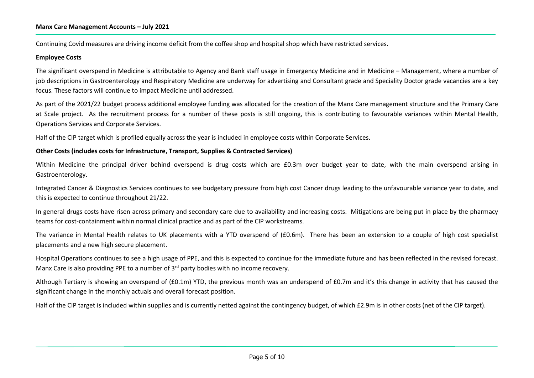## **Manx Care Management Accounts – July 2021**

Continuing Covid measures are driving income deficit from the coffee shop and hospital shop which have restricted services.

## **Employee Costs**

The significant overspend in Medicine is attributable to Agency and Bank staff usage in Emergency Medicine and in Medicine – Management, where a number of job descriptions in Gastroenterology and Respiratory Medicine are underway for advertising and Consultant grade and Speciality Doctor grade vacancies are a key focus. These factors will continue to impact Medicine until addressed.

As part of the 2021/22 budget process additional employee funding was allocated for the creation of the Manx Care management structure and the Primary Care at Scale project. As the recruitment process for a number of these posts is still ongoing, this is contributing to favourable variances within Mental Health, Operations Services and Corporate Services.

Half of the CIP target which is profiled equally across the year is included in employee costs within Corporate Services.

## **Other Costs (includes costs for Infrastructure, Transport, Supplies & Contracted Services)**

Within Medicine the principal driver behind overspend is drug costs which are £0.3m over budget year to date, with the main overspend arising in Gastroenterology.

Integrated Cancer & Diagnostics Services continues to see budgetary pressure from high cost Cancer drugs leading to the unfavourable variance year to date, and this is expected to continue throughout 21/22.

In general drugs costs have risen across primary and secondary care due to availability and increasing costs. Mitigations are being put in place by the pharmacy teams for cost-containment within normal clinical practice and as part of the CIP workstreams.

The variance in Mental Health relates to UK placements with a YTD overspend of (£0.6m). There has been an extension to a couple of high cost specialist placements and a new high secure placement.

Hospital Operations continues to see a high usage of PPE, and this is expected to continue for the immediate future and has been reflected in the revised forecast. Manx Care is also providing PPE to a number of 3<sup>rd</sup> party bodies with no income recovery.

Although Tertiary is showing an overspend of (£0.1m) YTD, the previous month was an underspend of £0.7m and it's this change in activity that has caused the significant change in the monthly actuals and overall forecast position.

Half of the CIP target is included within supplies and is currently netted against the contingency budget, of which £2.9m is in other costs (net of the CIP target).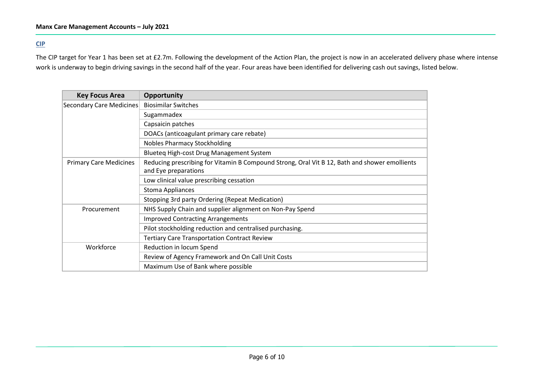## **CIP**

The CIP target for Year 1 has been set at £2.7m. Following the development of the Action Plan, the project is now in an accelerated delivery phase where intense work is underway to begin driving savings in the second half of the year. Four areas have been identified for delivering cash out savings, listed below.

| <b>Key Focus Area</b>         | Opportunity                                                                                                           |  |  |  |  |  |
|-------------------------------|-----------------------------------------------------------------------------------------------------------------------|--|--|--|--|--|
| Secondary Care Medicines      | <b>Biosimilar Switches</b>                                                                                            |  |  |  |  |  |
|                               | Sugammadex                                                                                                            |  |  |  |  |  |
|                               | Capsaicin patches                                                                                                     |  |  |  |  |  |
|                               | DOACs (anticoagulant primary care rebate)                                                                             |  |  |  |  |  |
|                               | <b>Nobles Pharmacy Stockholding</b>                                                                                   |  |  |  |  |  |
|                               | Blueteq High-cost Drug Management System                                                                              |  |  |  |  |  |
| <b>Primary Care Medicines</b> | Reducing prescribing for Vitamin B Compound Strong, Oral Vit B 12, Bath and shower emollients<br>and Eye preparations |  |  |  |  |  |
|                               | Low clinical value prescribing cessation                                                                              |  |  |  |  |  |
|                               |                                                                                                                       |  |  |  |  |  |
|                               | <b>Stoma Appliances</b>                                                                                               |  |  |  |  |  |
|                               | Stopping 3rd party Ordering (Repeat Medication)                                                                       |  |  |  |  |  |
| Procurement                   | NHS Supply Chain and supplier alignment on Non-Pay Spend                                                              |  |  |  |  |  |
|                               | <b>Improved Contracting Arrangements</b>                                                                              |  |  |  |  |  |
|                               | Pilot stockholding reduction and centralised purchasing.                                                              |  |  |  |  |  |
|                               | <b>Tertiary Care Transportation Contract Review</b>                                                                   |  |  |  |  |  |
| Workforce                     | Reduction in locum Spend                                                                                              |  |  |  |  |  |
|                               | Review of Agency Framework and On Call Unit Costs                                                                     |  |  |  |  |  |
|                               | Maximum Use of Bank where possible                                                                                    |  |  |  |  |  |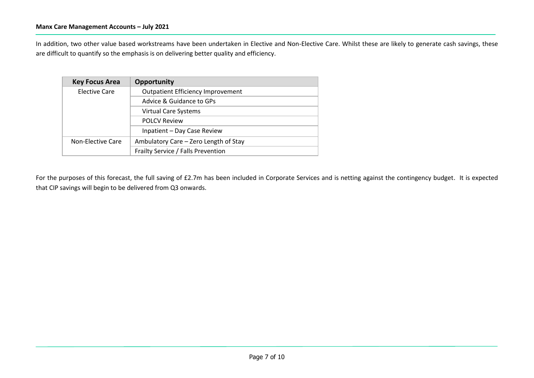In addition, two other value based workstreams have been undertaken in Elective and Non-Elective Care. Whilst these are likely to generate cash savings, these are difficult to quantify so the emphasis is on delivering better quality and efficiency.

| <b>Key Focus Area</b> | Opportunity                              |  |  |  |
|-----------------------|------------------------------------------|--|--|--|
| Elective Care         | <b>Outpatient Efficiency Improvement</b> |  |  |  |
|                       | Advice & Guidance to GPs                 |  |  |  |
|                       | <b>Virtual Care Systems</b>              |  |  |  |
|                       | <b>POLCV Review</b>                      |  |  |  |
|                       | Inpatient - Day Case Review              |  |  |  |
| Non-Elective Care     | Ambulatory Care - Zero Length of Stay    |  |  |  |
|                       | Frailty Service / Falls Prevention       |  |  |  |

For the purposes of this forecast, the full saving of £2.7m has been included in Corporate Services and is netting against the contingency budget. It is expected that CIP savings will begin to be delivered from Q3 onwards.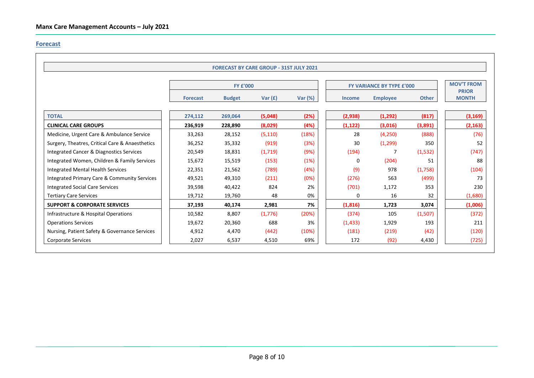## **Forecast**

|                                                     |                 | <b>FORECAST BY CARE GROUP - 31ST JULY 2021</b> |           |                |                           |                   |              |                              |
|-----------------------------------------------------|-----------------|------------------------------------------------|-----------|----------------|---------------------------|-------------------|--------------|------------------------------|
|                                                     |                 | <b>FY £'000</b>                                |           |                | FY VARIANCE BY TYPE £'000 | <b>MOV'T FROM</b> |              |                              |
|                                                     | <b>Forecast</b> | <b>Budget</b>                                  | Var $(f)$ | <b>Var (%)</b> | <b>Income</b>             | <b>Employee</b>   | <b>Other</b> | <b>PRIOR</b><br><b>MONTH</b> |
| <b>TOTAL</b>                                        | 274,112         | 269,064                                        | (5,048)   | (2%)           | (2,938)                   | (1, 292)          | (817)        | (3, 169)                     |
| <b>CLINICAL CARE GROUPS</b>                         | 236,919         | 228,890                                        | (8,029)   | (4%)           | (1, 122)                  | (3,016)           | (3,891)      | (2, 163)                     |
| Medicine, Urgent Care & Ambulance Service           | 33,263          | 28,152                                         | (5, 110)  | (18%)          | 28                        | (4,250)           | (888)        | (76)                         |
| Surgery, Theatres, Critical Care & Anaesthetics     | 36,252          | 35,332                                         | (919)     | (3%)           | 30                        | (1, 299)          | 350          | 52                           |
| <b>Integrated Cancer &amp; Diagnostics Services</b> | 20,549          | 18,831                                         | (1, 719)  | (9%)           | (194)                     |                   | (1,532)      | (747)                        |
| Integrated Women, Children & Family Services        | 15,672          | 15,519                                         | (153)     | (1%)           | 0                         | (204)             | 51           | 88                           |
| <b>Integrated Mental Health Services</b>            | 22,351          | 21,562                                         | (789)     | (4%)           | (9)                       | 978               | (1,758)      | (104)                        |
| Integrated Primary Care & Community Services        | 49,521          | 49,310                                         | (211)     | (0%)           | (276)                     | 563               | (499)        | 73                           |
| <b>Integrated Social Care Services</b>              | 39,598          | 40,422                                         | 824       | 2%             | (701)                     | 1,172             | 353          | 230                          |
| <b>Tertiary Care Services</b>                       | 19,712          | 19,760                                         | 48        | 0%             | 0                         | 16                | 32           | (1,680)                      |
| <b>SUPPORT &amp; CORPORATE SERVICES</b>             | 37,193          | 40,174                                         | 2,981     | 7%             | (1,816)                   | 1,723             | 3,074        | (1,006)                      |
| Infrastructure & Hospital Operations                | 10,582          | 8,807                                          | (1,776)   | (20%)          | (374)                     | 105               | (1,507)      | (372)                        |
| <b>Operations Services</b>                          | 19,672          | 20,360                                         | 688       | 3%             | (1, 433)                  | 1,929             | 193          | 211                          |
| Nursing, Patient Safety & Governance Services       | 4,912           | 4,470                                          | (442)     | (10%)          | (181)                     | (219)             | (42)         | (120)                        |
| <b>Corporate Services</b>                           | 2,027           | 6,537                                          | 4,510     | 69%            | 172                       | (92)              | 4,430        | (725)                        |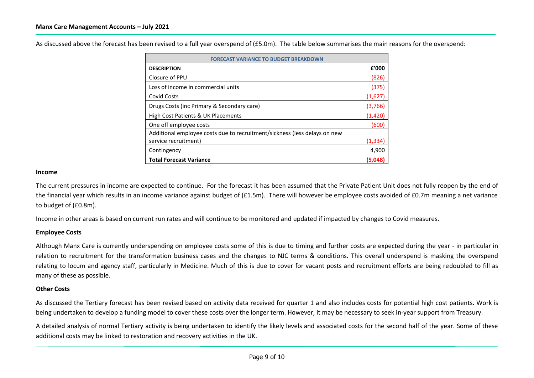As discussed above the forecast has been revised to a full year overspend of (£5.0m). The table below summarises the main reasons for the overspend:

| <b>FORECAST VARIANCE TO BUDGET BREAKDOWN</b>                              |          |  |  |  |  |
|---------------------------------------------------------------------------|----------|--|--|--|--|
| <b>DESCRIPTION</b>                                                        | £'000    |  |  |  |  |
| Closure of PPU                                                            | (826)    |  |  |  |  |
| Loss of income in commercial units                                        | (375)    |  |  |  |  |
| Covid Costs                                                               | (1,627)  |  |  |  |  |
| Drugs Costs (inc Primary & Secondary care)                                | (3,766)  |  |  |  |  |
| High Cost Patients & UK Placements                                        |          |  |  |  |  |
| One off employee costs                                                    | (600)    |  |  |  |  |
| Additional employee costs due to recruitment/sickness (less delays on new |          |  |  |  |  |
| service recruitment)                                                      | (1, 334) |  |  |  |  |
| Contingency                                                               | 4,900    |  |  |  |  |
| <b>Total Forecast Variance</b>                                            | (5,048)  |  |  |  |  |

## **Income**

The current pressures in income are expected to continue. For the forecast it has been assumed that the Private Patient Unit does not fully reopen by the end of the financial year which results in an income variance against budget of (£1.5m). There will however be employee costs avoided of £0.7m meaning a net variance to budget of (£0.8m).

Income in other areas is based on current run rates and will continue to be monitored and updated if impacted by changes to Covid measures.

## **Employee Costs**

Although Manx Care is currently underspending on employee costs some of this is due to timing and further costs are expected during the year - in particular in relation to recruitment for the transformation business cases and the changes to NJC terms & conditions. This overall underspend is masking the overspend relating to locum and agency staff, particularly in Medicine. Much of this is due to cover for vacant posts and recruitment efforts are being redoubled to fill as many of these as possible.

## **Other Costs**

As discussed the Tertiary forecast has been revised based on activity data received for quarter 1 and also includes costs for potential high cost patients. Work is being undertaken to develop a funding model to cover these costs over the longer term. However, it may be necessary to seek in-year support from Treasury.

A detailed analysis of normal Tertiary activity is being undertaken to identify the likely levels and associated costs for the second half of the year. Some of these additional costs may be linked to restoration and recovery activities in the UK.